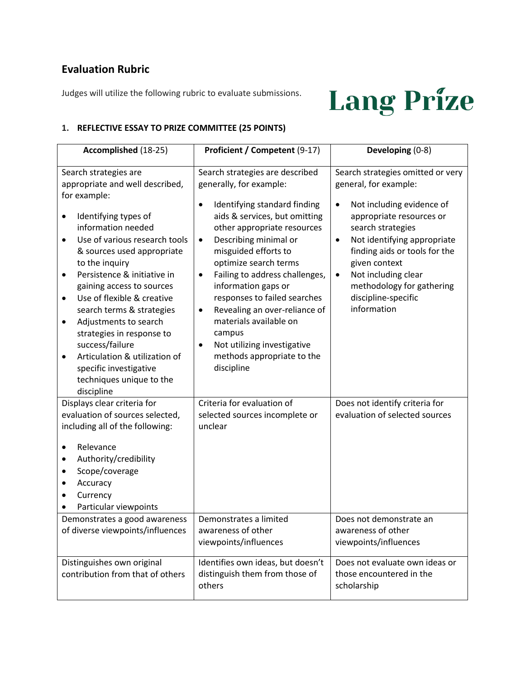## **Evaluation Rubric**

Judges will utilize the following rubric to evaluate submissions.

# **Lang Prize**

#### **1. REFLECTIVE ESSAY TO PRIZE COMMITTEE (25 POINTS)**

| Accomplished (18-25)                                                                                                                                                                                                                                                                                                                          | Proficient / Competent (9-17)                                                                                                                                                                                                                                                                                                                                        | Developing (0-8)                                                                                                                                                                                                                                                                                                                            |
|-----------------------------------------------------------------------------------------------------------------------------------------------------------------------------------------------------------------------------------------------------------------------------------------------------------------------------------------------|----------------------------------------------------------------------------------------------------------------------------------------------------------------------------------------------------------------------------------------------------------------------------------------------------------------------------------------------------------------------|---------------------------------------------------------------------------------------------------------------------------------------------------------------------------------------------------------------------------------------------------------------------------------------------------------------------------------------------|
| Search strategies are<br>appropriate and well described,<br>for example:<br>Identifying types of<br>٠<br>information needed<br>Use of various research tools<br>$\bullet$<br>& sources used appropriate<br>to the inquiry<br>Persistence & initiative in<br>$\bullet$<br>gaining access to sources<br>Use of flexible & creative<br>$\bullet$ | Search strategies are described<br>generally, for example:<br>Identifying standard finding<br>$\bullet$<br>aids & services, but omitting<br>other appropriate resources<br>Describing minimal or<br>$\bullet$<br>misguided efforts to<br>optimize search terms<br>Failing to address challenges,<br>$\bullet$<br>information gaps or<br>responses to failed searches | Search strategies omitted or very<br>general, for example:<br>Not including evidence of<br>$\bullet$<br>appropriate resources or<br>search strategies<br>Not identifying appropriate<br>$\bullet$<br>finding aids or tools for the<br>given context<br>Not including clear<br>$\bullet$<br>methodology for gathering<br>discipline-specific |
| search terms & strategies<br>Adjustments to search<br>٠<br>strategies in response to<br>success/failure<br>Articulation & utilization of<br>$\bullet$<br>specific investigative<br>techniques unique to the<br>discipline                                                                                                                     | Revealing an over-reliance of<br>٠<br>materials available on<br>campus<br>Not utilizing investigative<br>$\bullet$<br>methods appropriate to the<br>discipline                                                                                                                                                                                                       | information                                                                                                                                                                                                                                                                                                                                 |
| Displays clear criteria for<br>evaluation of sources selected,<br>including all of the following:<br>Relevance<br>Authority/credibility<br>Scope/coverage<br>Accuracy<br>Currency<br>Particular viewpoints                                                                                                                                    | Criteria for evaluation of<br>selected sources incomplete or<br>unclear                                                                                                                                                                                                                                                                                              | Does not identify criteria for<br>evaluation of selected sources                                                                                                                                                                                                                                                                            |
| Demonstrates a good awareness<br>of diverse viewpoints/influences                                                                                                                                                                                                                                                                             | Demonstrates a limited<br>awareness of other<br>viewpoints/influences                                                                                                                                                                                                                                                                                                | Does not demonstrate an<br>awareness of other<br>viewpoints/influences                                                                                                                                                                                                                                                                      |
| Distinguishes own original<br>contribution from that of others                                                                                                                                                                                                                                                                                | Identifies own ideas, but doesn't<br>distinguish them from those of<br>others                                                                                                                                                                                                                                                                                        | Does not evaluate own ideas or<br>those encountered in the<br>scholarship                                                                                                                                                                                                                                                                   |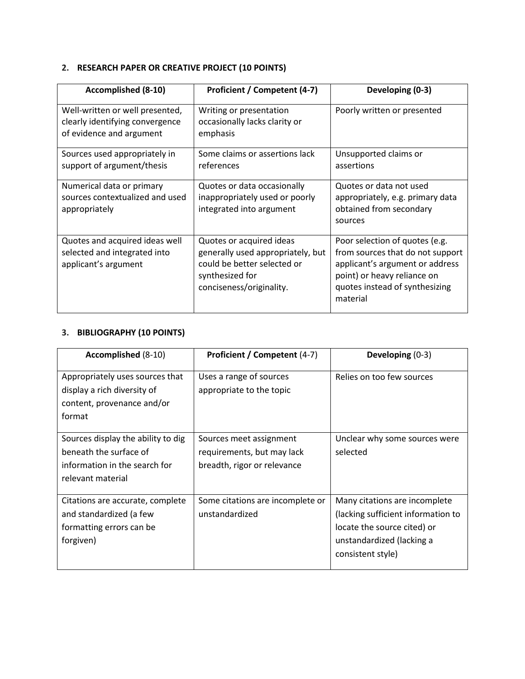### **2. RESEARCH PAPER OR CREATIVE PROJECT (10 POINTS)**

| <b>Accomplished (8-10)</b>                                                                     | Proficient / Competent (4-7)                                                                                                                | Developing (0-3)                                                                                                                                                                   |
|------------------------------------------------------------------------------------------------|---------------------------------------------------------------------------------------------------------------------------------------------|------------------------------------------------------------------------------------------------------------------------------------------------------------------------------------|
| Well-written or well presented,<br>clearly identifying convergence<br>of evidence and argument | Writing or presentation<br>occasionally lacks clarity or<br>emphasis                                                                        | Poorly written or presented                                                                                                                                                        |
| Sources used appropriately in<br>support of argument/thesis                                    | Some claims or assertions lack<br>references                                                                                                | Unsupported claims or<br>assertions                                                                                                                                                |
| Numerical data or primary<br>sources contextualized and used<br>appropriately                  | Quotes or data occasionally<br>inappropriately used or poorly<br>integrated into argument                                                   | Quotes or data not used<br>appropriately, e.g. primary data<br>obtained from secondary<br>sources                                                                                  |
| Quotes and acquired ideas well<br>selected and integrated into<br>applicant's argument         | Quotes or acquired ideas<br>generally used appropriately, but<br>could be better selected or<br>synthesized for<br>conciseness/originality. | Poor selection of quotes (e.g.<br>from sources that do not support<br>applicant's argument or address<br>point) or heavy reliance on<br>quotes instead of synthesizing<br>material |

### **3. BIBLIOGRAPHY (10 POINTS)**

| Accomplished (8-10)                                                                                                | Proficient / Competent (4-7)                                                         | Developing $(0-3)$                                                                                                                                   |
|--------------------------------------------------------------------------------------------------------------------|--------------------------------------------------------------------------------------|------------------------------------------------------------------------------------------------------------------------------------------------------|
| Appropriately uses sources that<br>display a rich diversity of<br>content, provenance and/or<br>format             | Uses a range of sources<br>appropriate to the topic                                  | Relies on too few sources                                                                                                                            |
| Sources display the ability to dig<br>beneath the surface of<br>information in the search for<br>relevant material | Sources meet assignment<br>requirements, but may lack<br>breadth, rigor or relevance | Unclear why some sources were<br>selected                                                                                                            |
| Citations are accurate, complete<br>and standardized (a few<br>formatting errors can be<br>forgiven)               | Some citations are incomplete or<br>unstandardized                                   | Many citations are incomplete<br>(lacking sufficient information to<br>locate the source cited) or<br>unstandardized (lacking a<br>consistent style) |